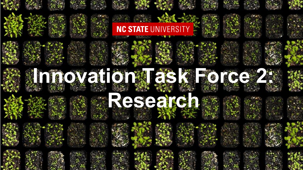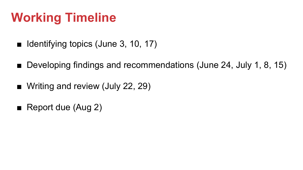## **Working Timeline**

- Identifying topics (June 3, 10, 17)
- Developing findings and recommendations (June 24, July 1, 8, 15)
- Writing and review (July 22, 29)
- Report due (Aug 2)